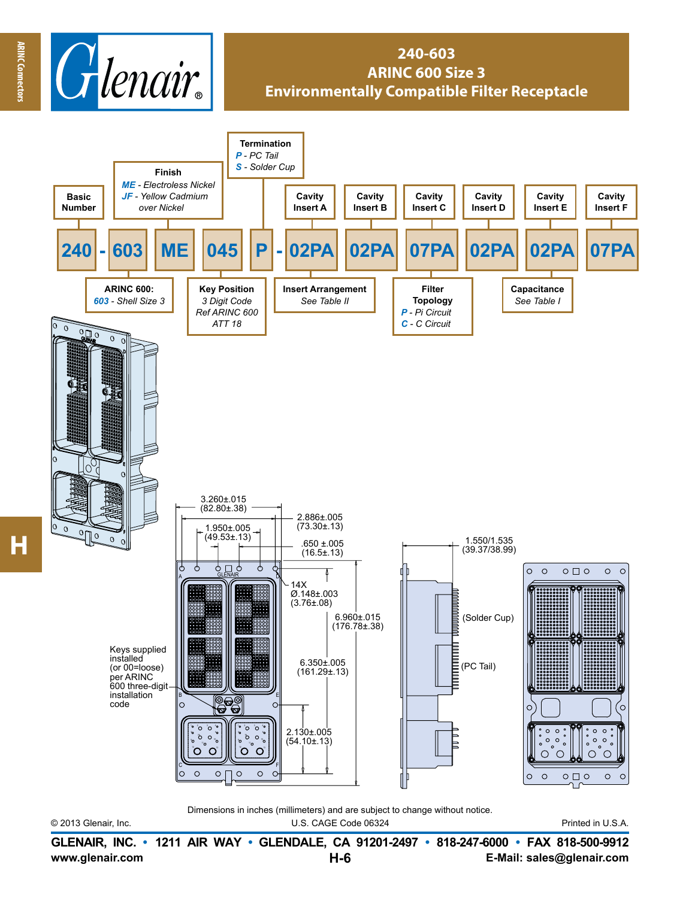

## **240-603 ARINC 600 Size 3 Environmentally Compatible Filter Receptacle**



© 2013 Glenair, Inc. U.S. CAGE Code 06324 Printed in U.S.A. Dimensions in inches (millimeters) and are subject to change without notice.

**www.glenair.com E-Mail: sales@glenair.com GLENAIR, INC. • 1211 AIR WAY • GLENDALE, CA 91201-2497 • 818-247-6000 • FAX 818-500-9912 H-6**